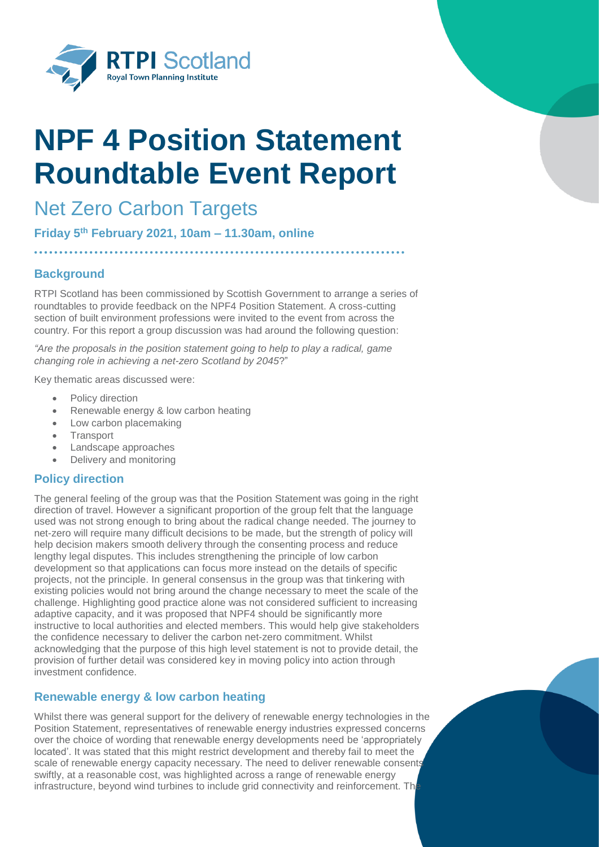

# **NPF 4 Position Statement Roundtable Event Report**

# Net Zero Carbon Targets

**Friday 5th February 2021, 10am – 11.30am, online** 

# **Background**

RTPI Scotland has been commissioned by Scottish Government to arrange a series of roundtables to provide feedback on the NPF4 Position Statement. A cross-cutting section of built environment professions were invited to the event from across the country. For this report a group discussion was had around the following question:

*"Are the proposals in the position statement going to help to play a radical, game changing role in achieving a net-zero Scotland by 2045*?"

Key thematic areas discussed were:

- Policy direction
- Renewable energy & low carbon heating
- Low carbon placemaking
- **Transport**
- Landscape approaches
- Delivery and monitoring

## **Policy direction**

The general feeling of the group was that the Position Statement was going in the right direction of travel. However a significant proportion of the group felt that the language used was not strong enough to bring about the radical change needed. The journey to net-zero will require many difficult decisions to be made, but the strength of policy will help decision makers smooth delivery through the consenting process and reduce lengthy legal disputes. This includes strengthening the principle of low carbon development so that applications can focus more instead on the details of specific projects, not the principle. In general consensus in the group was that tinkering with existing policies would not bring around the change necessary to meet the scale of the challenge. Highlighting good practice alone was not considered sufficient to increasing adaptive capacity, and it was proposed that NPF4 should be significantly more instructive to local authorities and elected members. This would help give stakeholders the confidence necessary to deliver the carbon net-zero commitment. Whilst acknowledging that the purpose of this high level statement is not to provide detail, the provision of further detail was considered key in moving policy into action through investment confidence.

## **Renewable energy & low carbon heating**

Whilst there was general support for the delivery of renewable energy technologies in the Position Statement, representatives of renewable energy industries expressed concerns over the choice of wording that renewable energy developments need be 'appropriately located'. It was stated that this might restrict development and thereby fail to meet the scale of renewable energy capacity necessary. The need to deliver renewable consents swiftly, at a reasonable cost, was highlighted across a range of renewable energy infrastructure, beyond wind turbines to include grid connectivity and reinforcement. The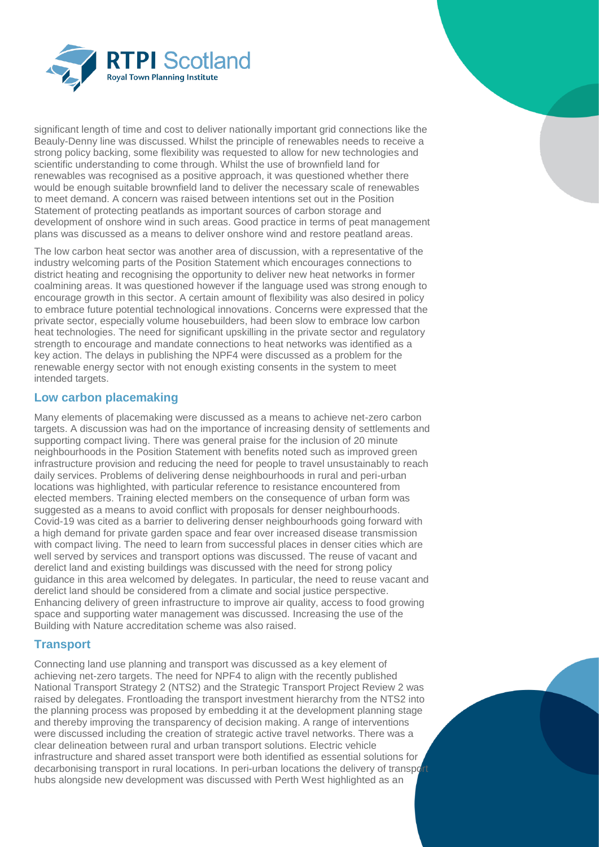

significant length of time and cost to deliver nationally important grid connections like the Beauly-Denny line was discussed. Whilst the principle of renewables needs to receive a strong policy backing, some flexibility was requested to allow for new technologies and scientific understanding to come through. Whilst the use of brownfield land for renewables was recognised as a positive approach, it was questioned whether there would be enough suitable brownfield land to deliver the necessary scale of renewables to meet demand. A concern was raised between intentions set out in the Position Statement of protecting peatlands as important sources of carbon storage and development of onshore wind in such areas. Good practice in terms of peat management plans was discussed as a means to deliver onshore wind and restore peatland areas.

The low carbon heat sector was another area of discussion, with a representative of the industry welcoming parts of the Position Statement which encourages connections to district heating and recognising the opportunity to deliver new heat networks in former coalmining areas. It was questioned however if the language used was strong enough to encourage growth in this sector. A certain amount of flexibility was also desired in policy to embrace future potential technological innovations. Concerns were expressed that the private sector, especially volume housebuilders, had been slow to embrace low carbon heat technologies. The need for significant upskilling in the private sector and regulatory strength to encourage and mandate connections to heat networks was identified as a key action. The delays in publishing the NPF4 were discussed as a problem for the renewable energy sector with not enough existing consents in the system to meet intended targets.

#### **Low carbon placemaking**

Many elements of placemaking were discussed as a means to achieve net-zero carbon targets. A discussion was had on the importance of increasing density of settlements and supporting compact living. There was general praise for the inclusion of 20 minute neighbourhoods in the Position Statement with benefits noted such as improved green infrastructure provision and reducing the need for people to travel unsustainably to reach daily services. Problems of delivering dense neighbourhoods in rural and peri-urban locations was highlighted, with particular reference to resistance encountered from elected members. Training elected members on the consequence of urban form was suggested as a means to avoid conflict with proposals for denser neighbourhoods. Covid-19 was cited as a barrier to delivering denser neighbourhoods going forward with a high demand for private garden space and fear over increased disease transmission with compact living. The need to learn from successful places in denser cities which are well served by services and transport options was discussed. The reuse of vacant and derelict land and existing buildings was discussed with the need for strong policy guidance in this area welcomed by delegates. In particular, the need to reuse vacant and derelict land should be considered from a climate and social justice perspective. Enhancing delivery of green infrastructure to improve air quality, access to food growing space and supporting water management was discussed. Increasing the use of the Building with Nature accreditation scheme was also raised.

## **Transport**

Connecting land use planning and transport was discussed as a key element of achieving net-zero targets. The need for NPF4 to align with the recently published National Transport Strategy 2 (NTS2) and the Strategic Transport Project Review 2 was raised by delegates. Frontloading the transport investment hierarchy from the NTS2 into the planning process was proposed by embedding it at the development planning stage and thereby improving the transparency of decision making. A range of interventions were discussed including the creation of strategic active travel networks. There was a clear delineation between rural and urban transport solutions. Electric vehicle infrastructure and shared asset transport were both identified as essential solutions for decarbonising transport in rural locations. In peri-urban locations the delivery of transport hubs alongside new development was discussed with Perth West highlighted as an